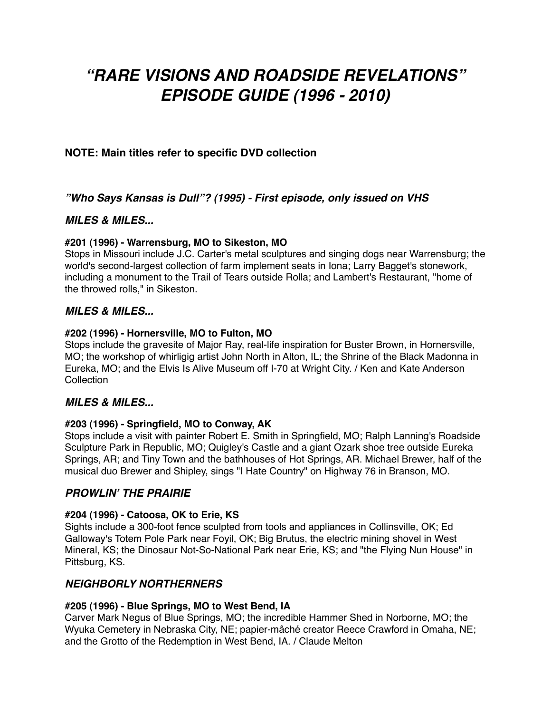# *"RARE VISIONS AND ROADSIDE REVELATIONS" EPISODE GUIDE (1996 - 2010)*

# **NOTE: Main titles refer to specific DVD collection**

*"Who Says Kansas is Dull"? (1995) - First episode, only issued on VHS*

# *MILES & MILES...*

### **#201 (1996) - Warrensburg, MO to Sikeston, MO**

Stops in Missouri include J.C. Carter's metal sculptures and singing dogs near Warrensburg; the world's second-largest collection of farm implement seats in Iona; Larry Bagget's stonework, including a monument to the Trail of Tears outside Rolla; and Lambert's Restaurant, "home of the throwed rolls," in Sikeston.

# *MILES & MILES...*

### **#202 (1996) - Hornersville, MO to Fulton, MO**

Stops include the gravesite of Major Ray, real-life inspiration for Buster Brown, in Hornersville, MO; the workshop of whirligig artist John North in Alton, IL; the Shrine of the Black Madonna in Eureka, MO; and the Elvis Is Alive Museum off I-70 at Wright City. / Ken and Kate Anderson **Collection** 

# *MILES & MILES...*

### **#203 (1996) - Springfield, MO to Conway, AK**

Stops include a visit with painter Robert E. Smith in Springfield, MO; Ralph Lanning's Roadside Sculpture Park in Republic, MO; Quigley's Castle and a giant Ozark shoe tree outside Eureka Springs, AR; and Tiny Town and the bathhouses of Hot Springs, AR. Michael Brewer, half of the musical duo Brewer and Shipley, sings "I Hate Country" on Highway 76 in Branson, MO.

# *PROWLIN***'** *THE PRAIRIE*

### **#204 (1996) - Catoosa, OK to Erie, KS**

Sights include a 300-foot fence sculpted from tools and appliances in Collinsville, OK; Ed Galloway's Totem Pole Park near Foyil, OK; Big Brutus, the electric mining shovel in West Mineral, KS; the Dinosaur Not-So-National Park near Erie, KS; and "the Flying Nun House" in Pittsburg, KS.

# *NEIGHBORLY NORTHERNERS*

### **#205 (1996) - Blue Springs, MO to West Bend, IA**

Carver Mark Negus of Blue Springs, MO; the incredible Hammer Shed in Norborne, MO; the Wyuka Cemetery in Nebraska City, NE; papier-mâché creator Reece Crawford in Omaha, NE; and the Grotto of the Redemption in West Bend, IA. / Claude Melton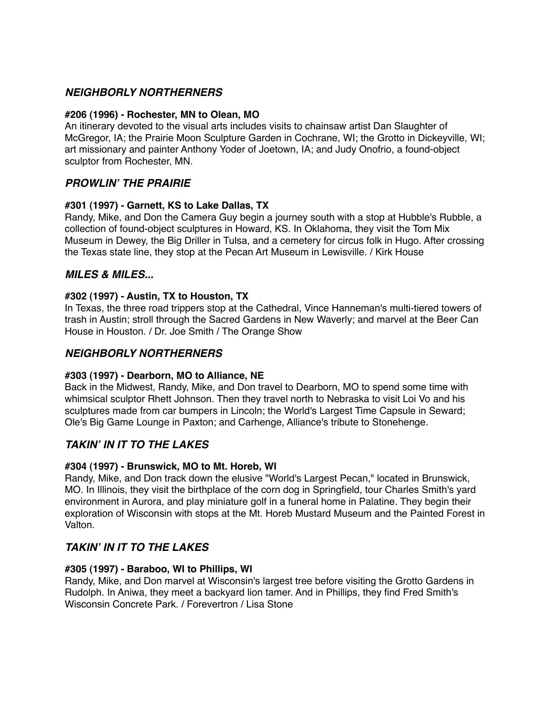# *NEIGHBORLY NORTHERNERS*

### **#206 (1996) - Rochester, MN to Olean, MO**

An itinerary devoted to the visual arts includes visits to chainsaw artist Dan Slaughter of McGregor, IA; the Prairie Moon Sculpture Garden in Cochrane, WI; the Grotto in Dickeyville, WI; art missionary and painter Anthony Yoder of Joetown, IA; and Judy Onofrio, a found-object sculptor from Rochester, MN.

# *PROWLIN***'** *THE PRAIRIE*

### **#301 (1997) - Garnett, KS to Lake Dallas, TX**

Randy, Mike, and Don the Camera Guy begin a journey south with a stop at Hubble's Rubble, a collection of found-object sculptures in Howard, KS. In Oklahoma, they visit the Tom Mix Museum in Dewey, the Big Driller in Tulsa, and a cemetery for circus folk in Hugo. After crossing the Texas state line, they stop at the Pecan Art Museum in Lewisville. / Kirk House

# *MILES & MILES...*

### **#302 (1997) - Austin, TX to Houston, TX**

In Texas, the three road trippers stop at the Cathedral, Vince Hanneman's multi-tiered towers of trash in Austin; stroll through the Sacred Gardens in New Waverly; and marvel at the Beer Can House in Houston. / Dr. Joe Smith / The Orange Show

# *NEIGHBORLY NORTHERNERS*

# **#303 (1997) - Dearborn, MO to Alliance, NE**

Back in the Midwest, Randy, Mike, and Don travel to Dearborn, MO to spend some time with whimsical sculptor Rhett Johnson. Then they travel north to Nebraska to visit Loi Vo and his sculptures made from car bumpers in Lincoln; the World's Largest Time Capsule in Seward; Ole's Big Game Lounge in Paxton; and Carhenge, Alliance's tribute to Stonehenge.

# *TAKIN***'** *IN IT TO THE LAKES*

# **#304 (1997) - Brunswick, MO to Mt. Horeb, WI**

Randy, Mike, and Don track down the elusive "World's Largest Pecan," located in Brunswick, MO. In Illinois, they visit the birthplace of the corn dog in Springfield, tour Charles Smith's yard environment in Aurora, and play miniature golf in a funeral home in Palatine. They begin their exploration of Wisconsin with stops at the Mt. Horeb Mustard Museum and the Painted Forest in Valton.

# *TAKIN***'** *IN IT TO THE LAKES*

### **#305 (1997) - Baraboo, WI to Phillips, WI**

Randy, Mike, and Don marvel at Wisconsin's largest tree before visiting the Grotto Gardens in Rudolph. In Aniwa, they meet a backyard lion tamer. And in Phillips, they find Fred Smith's Wisconsin Concrete Park. / Forevertron / Lisa Stone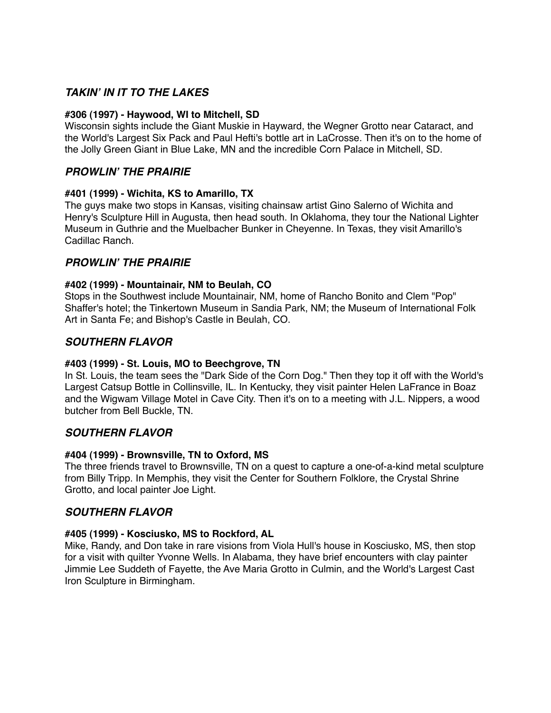# *TAKIN***'** *IN IT TO THE LAKES*

### **#306 (1997) - Haywood, WI to Mitchell, SD**

Wisconsin sights include the Giant Muskie in Hayward, the Wegner Grotto near Cataract, and the World's Largest Six Pack and Paul Hefti's bottle art in LaCrosse. Then it's on to the home of the Jolly Green Giant in Blue Lake, MN and the incredible Corn Palace in Mitchell, SD.

# *PROWLIN***'** *THE PRAIRIE*

### **[#401](http://www.ket.org/tvschedules/episode.php?nola=RVAR++000401) (1999) - Wichita, KS to Amarillo, TX**

The guys make two stops in Kansas, visiting chainsaw artist Gino Salerno of Wichita and Henry's Sculpture Hill in Augusta, then head south. In Oklahoma, they tour the National Lighter Museum in Guthrie and the Muelbacher Bunker in Cheyenne. In Texas, they visit Amarillo's Cadillac Ranch.

# *PROWLIN***'** *THE PRAIRIE*

### **[#402](http://www.ket.org/tvschedules/episode.php?nola=RVAR++000402) (1999) - Mountainair, NM to Beulah, CO**

Stops in the Southwest include Mountainair, NM, home of Rancho Bonito and Clem "Pop" Shaffer's hotel; the Tinkertown Museum in Sandia Park, NM; the Museum of International Folk Art in Santa Fe; and Bishop's Castle in Beulah, CO.

# *SOUTHERN FLAVOR*

### **[#403](http://www.ket.org/tvschedules/episode.php?nola=RVAR++000403) (1999) - St. Louis, MO to Beechgrove, TN**

In St. Louis, the team sees the "Dark Side of the Corn Dog." Then they top it off with the World's Largest Catsup Bottle in Collinsville, IL. In Kentucky, they visit painter Helen LaFrance in Boaz and the Wigwam Village Motel in Cave City. Then it's on to a meeting with J.L. Nippers, a wood butcher from Bell Buckle, TN.

# *SOUTHERN FLAVOR*

### **[#404](http://www.ket.org/tvschedules/episode.php?nola=RVAR++000404) (1999) - Brownsville, TN to Oxford, MS**

The three friends travel to Brownsville, TN on a quest to capture a one-of-a-kind metal sculpture from Billy Tripp. In Memphis, they visit the Center for Southern Folklore, the Crystal Shrine Grotto, and local painter Joe Light.

# *SOUTHERN FLAVOR*

### **[#405](http://www.ket.org/tvschedules/episode.php?nola=RVAR++000405) (1999) - Kosciusko, MS to Rockford, AL**

Mike, Randy, and Don take in rare visions from Viola Hull's house in Kosciusko, MS, then stop for a visit with quilter Yvonne Wells. In Alabama, they have brief encounters with clay painter Jimmie Lee Suddeth of Fayette, the Ave Maria Grotto in Culmin, and the World's Largest Cast Iron Sculpture in Birmingham.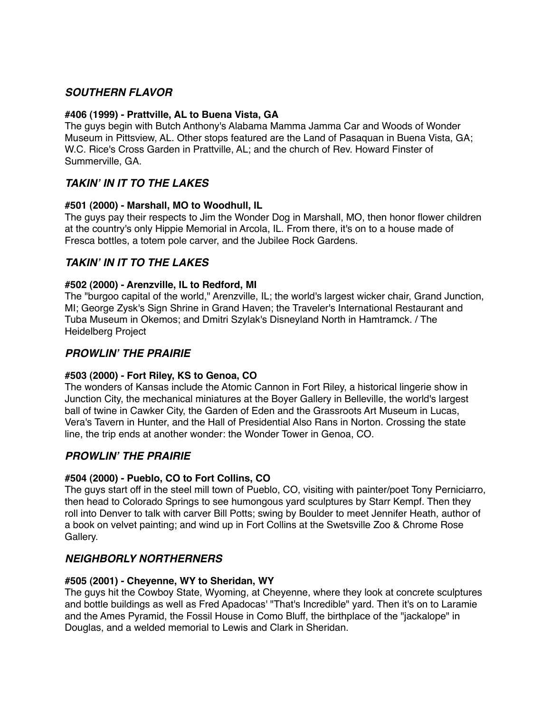# *SOUTHERN FLAVOR*

### **[#406](http://www.ket.org/tvschedules/episode.php?nola=RVAR++000406) (1999) - Prattville, AL to Buena Vista, GA**

The guys begin with Butch Anthony's Alabama Mamma Jamma Car and Woods of Wonder Museum in Pittsview, AL. Other stops featured are the Land of Pasaquan in Buena Vista, GA; W.C. Rice's Cross Garden in Prattville, AL; and the church of Rev. Howard Finster of Summerville, GA.

# *TAKIN***'** *IN IT TO THE LAKES*

### **[#501](http://www.ket.org/tvschedules/episode.php?nola=RVAR++000501) (2000) - Marshall, MO to Woodhull, IL**

The guys pay their respects to Jim the Wonder Dog in Marshall, MO, then honor flower children at the country's only Hippie Memorial in Arcola, IL. From there, it's on to a house made of Fresca bottles, a totem pole carver, and the Jubilee Rock Gardens.

# *TAKIN***'** *IN IT TO THE LAKES*

### **[#502](http://www.ket.org/tvschedules/episode.php?nola=RVAR++000502) (2000) - Arenzville, IL to Redford, MI**

The "burgoo capital of the world," Arenzville, IL; the world's largest wicker chair, Grand Junction, MI; George Zysk's Sign Shrine in Grand Haven; the Traveler's International Restaurant and Tuba Museum in Okemos; and Dmitri Szylak's Disneyland North in Hamtramck. / The Heidelberg Project

# *PROWLIN***'** *THE PRAIRIE*

# **[#503](http://www.ket.org/tvschedules/episode.php?nola=RVAR++000503) (2000) - Fort Riley, KS to Genoa, CO**

The wonders of Kansas include the Atomic Cannon in Fort Riley, a historical lingerie show in Junction City, the mechanical miniatures at the Boyer Gallery in Belleville, the world's largest ball of twine in Cawker City, the Garden of Eden and the Grassroots Art Museum in Lucas, Vera's Tavern in Hunter, and the Hall of Presidential Also Rans in Norton. Crossing the state line, the trip ends at another wonder: the Wonder Tower in Genoa, CO.

# *PROWLIN***'** *THE PRAIRIE*

# **[#504](http://www.ket.org/tvschedules/episode.php?nola=RVAR++000504) (2000) - Pueblo, CO to Fort Collins, CO**

The guys start off in the steel mill town of Pueblo, CO, visiting with painter/poet Tony Perniciarro, then head to Colorado Springs to see humongous yard sculptures by Starr Kempf. Then they roll into Denver to talk with carver Bill Potts; swing by Boulder to meet Jennifer Heath, author of a book on velvet painting; and wind up in Fort Collins at the Swetsville Zoo & Chrome Rose Gallery.

# *NEIGHBORLY NORTHERNERS*

# **#505 (2001) - Cheyenne, WY to Sheridan, WY**

The guys hit the Cowboy State, Wyoming, at Cheyenne, where they look at concrete sculptures and bottle buildings as well as Fred Apadocas' "That's Incredible" yard. Then it's on to Laramie and the Ames Pyramid, the Fossil House in Como Bluff, the birthplace of the "jackalope" in Douglas, and a welded memorial to Lewis and Clark in Sheridan.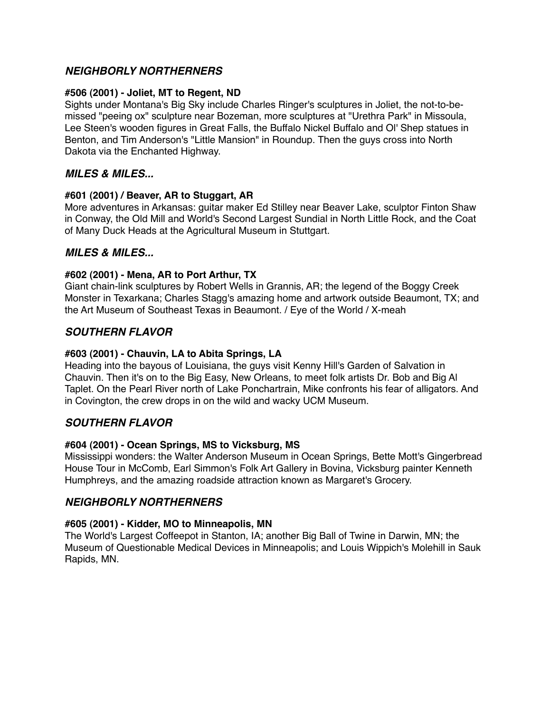# *NEIGHBORLY NORTHERNERS*

### **#506 (2001) - Joliet, MT to Regent, ND**

Sights under Montana's Big Sky include Charles Ringer's sculptures in Joliet, the not-to-bemissed "peeing ox" sculpture near Bozeman, more sculptures at "Urethra Park" in Missoula, Lee Steen's wooden figures in Great Falls, the Buffalo Nickel Buffalo and Ol' Shep statues in Benton, and Tim Anderson's "Little Mansion" in Roundup. Then the guys cross into North Dakota via the Enchanted Highway.

# *MILES & MILES...*

### **#601 (2001) / Beaver, AR to Stuggart, AR**

More adventures in Arkansas: guitar maker Ed Stilley near Beaver Lake, sculptor Finton Shaw in Conway, the Old Mill and World's Second Largest Sundial in North Little Rock, and the Coat of Many Duck Heads at the Agricultural Museum in Stuttgart.

# *MILES & MILES...*

### **#602 (2001) - Mena, AR to Port Arthur, TX**

Giant chain-link sculptures by Robert Wells in Grannis, AR; the legend of the Boggy Creek Monster in Texarkana; Charles Stagg's amazing home and artwork outside Beaumont, TX; and the Art Museum of Southeast Texas in Beaumont. / Eye of the World / X-meah

# *SOUTHERN FLAVOR*

### **#603 (2001) - Chauvin, LA to Abita Springs, LA**

Heading into the bayous of Louisiana, the guys visit Kenny Hill's Garden of Salvation in Chauvin. Then it's on to the Big Easy, New Orleans, to meet folk artists Dr. Bob and Big Al Taplet. On the Pearl River north of Lake Ponchartrain, Mike confronts his fear of alligators. And in Covington, the crew drops in on the wild and wacky UCM Museum.

# *SOUTHERN FLAVOR*

### **#604 (2001) - Ocean Springs, MS to Vicksburg, MS**

Mississippi wonders: the Walter Anderson Museum in Ocean Springs, Bette Mott's Gingerbread House Tour in McComb, Earl Simmon's Folk Art Gallery in Bovina, Vicksburg painter Kenneth Humphreys, and the amazing roadside attraction known as Margaret's Grocery.

# *NEIGHBORLY NORTHERNERS*

# **#605 (2001) - Kidder, MO to Minneapolis, MN**

The World's Largest Coffeepot in Stanton, IA; another Big Ball of Twine in Darwin, MN; the Museum of Questionable Medical Devices in Minneapolis; and Louis Wippich's Molehill in Sauk Rapids, MN.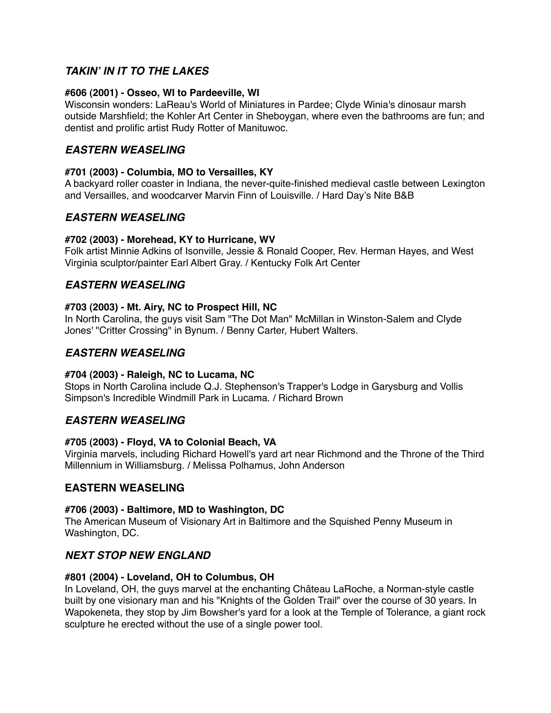# *TAKIN***'** *IN IT TO THE LAKES*

### **#606 (2001) - Osseo, WI to Pardeeville, WI**

Wisconsin wonders: LaReau's World of Miniatures in Pardee; Clyde Winia's dinosaur marsh outside Marshfield; the Kohler Art Center in Sheboygan, where even the bathrooms are fun; and dentist and prolific artist Rudy Rotter of Manituwoc.

# *EASTERN WEASELING*

### **#701 (2003) - Columbia, MO to Versailles, KY**

A backyard roller coaster in Indiana, the never-quite-finished medieval castle between Lexington and Versailles, and woodcarver Marvin Finn of Louisville. / Hard Day's Nite B&B

# *EASTERN WEASELING*

### **#702 (2003) - Morehead, KY to Hurricane, WV**

Folk artist Minnie Adkins of Isonville, Jessie & Ronald Cooper, Rev. Herman Hayes, and West Virginia sculptor/painter Earl Albert Gray. / Kentucky Folk Art Center

# *EASTERN WEASELING*

### **#703 (2003) - Mt. Airy, NC to Prospect Hill, NC**

In North Carolina, the guys visit Sam "The Dot Man" McMillan in Winston-Salem and Clyde Jones' "Critter Crossing" in Bynum. / Benny Carter, Hubert Walters.

# *EASTERN WEASELING*

### **#704 (2003) - Raleigh, NC to Lucama, NC**

Stops in North Carolina include Q.J. Stephenson's Trapper's Lodge in Garysburg and Vollis Simpson's Incredible Windmill Park in Lucama. / Richard Brown

# *EASTERN WEASELING*

### **#705 (2003) - Floyd, VA to Colonial Beach, VA**

Virginia marvels, including Richard Howell's yard art near Richmond and the Throne of the Third Millennium in Williamsburg. / Melissa Polhamus, John Anderson

# **EASTERN WEASELING**

### **#706 (2003) - Baltimore, MD to Washington, DC**

The American Museum of Visionary Art in Baltimore and the Squished Penny Museum in Washington, DC.

# *NEXT STOP NEW ENGLAND*

### **#801 (2004) - Loveland, OH to Columbus, OH**

In Loveland, OH, the guys marvel at the enchanting Château LaRoche, a Norman-style castle built by one visionary man and his "Knights of the Golden Trail" over the course of 30 years. In Wapokeneta, they stop by Jim Bowsher's yard for a look at the Temple of Tolerance, a giant rock sculpture he erected without the use of a single power tool.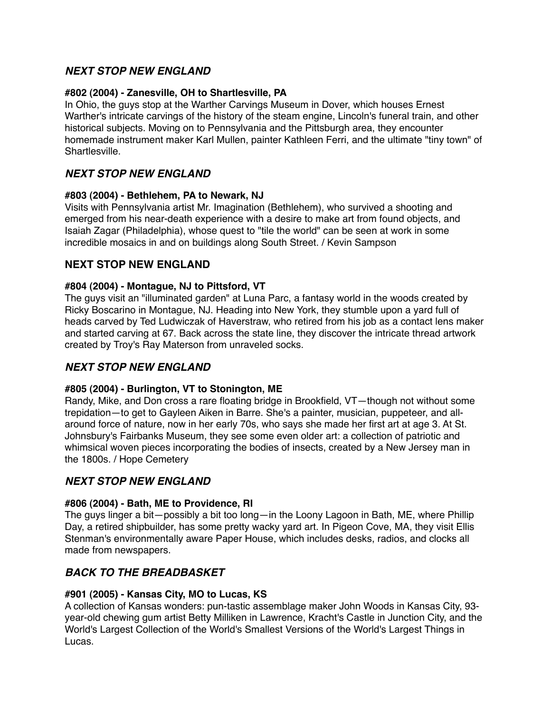# *NEXT STOP NEW ENGLAND*

# **#802 (2004) - Zanesville, OH to Shartlesville, PA**

In Ohio, the guys stop at the Warther Carvings Museum in Dover, which houses Ernest Warther's intricate carvings of the history of the steam engine, Lincoln's funeral train, and other historical subjects. Moving on to Pennsylvania and the Pittsburgh area, they encounter homemade instrument maker Karl Mullen, painter Kathleen Ferri, and the ultimate "tiny town" of **Shartlesville** 

# *NEXT STOP NEW ENGLAND*

### **#803 (2004) - Bethlehem, PA to Newark, NJ**

Visits with Pennsylvania artist Mr. Imagination (Bethlehem), who survived a shooting and emerged from his near-death experience with a desire to make art from found objects, and Isaiah Zagar (Philadelphia), whose quest to "tile the world" can be seen at work in some incredible mosaics in and on buildings along South Street. / Kevin Sampson

# **NEXT STOP NEW ENGLAND**

### **#804 (2004) - Montague, NJ to Pittsford, VT**

The guys visit an "illuminated garden" at Luna Parc, a fantasy world in the woods created by Ricky Boscarino in Montague, NJ. Heading into New York, they stumble upon a yard full of heads carved by Ted Ludwiczak of Haverstraw, who retired from his job as a contact lens maker and started carving at 67. Back across the state line, they discover the intricate thread artwork created by Troy's Ray Materson from unraveled socks.

# *NEXT STOP NEW ENGLAND*

### **#805 (2004) - Burlington, VT to Stonington, ME**

Randy, Mike, and Don cross a rare floating bridge in Brookfield, VT—though not without some trepidation—to get to Gayleen Aiken in Barre. She's a painter, musician, puppeteer, and allaround force of nature, now in her early 70s, who says she made her first art at age 3. At St. Johnsbury's Fairbanks Museum, they see some even older art: a collection of patriotic and whimsical woven pieces incorporating the bodies of insects, created by a New Jersey man in the 1800s. / Hope Cemetery

# *NEXT STOP NEW ENGLAND*

### **#806 (2004) - Bath, ME to Providence, RI**

The guys linger a bit—possibly a bit too long—in the Loony Lagoon in Bath, ME, where Phillip Day, a retired shipbuilder, has some pretty wacky yard art. In Pigeon Cove, MA, they visit Ellis Stenman's environmentally aware Paper House, which includes desks, radios, and clocks all made from newspapers.

# *BACK TO THE BREADBASKET*

### **[#901](http://www.ket.org/tvschedules/episode.php?nola=RVAR++000901) (2005) - Kansas City, MO to Lucas, KS**

A collection of Kansas wonders: pun-tastic assemblage maker John Woods in Kansas City, 93 year-old chewing gum artist Betty Milliken in Lawrence, Kracht's Castle in Junction City, and the World's Largest Collection of the World's Smallest Versions of the World's Largest Things in Lucas.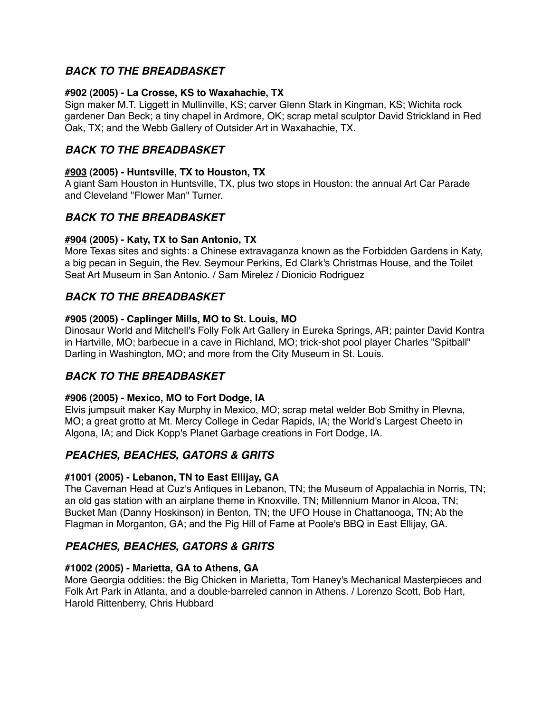# *BACK TO THE BREADBASKET*

### **#902 (2005) - La Crosse, KS to Waxahachie, TX**

Sign maker M.T. Liggett in Mullinville, KS; carver Glenn Stark in Kingman, KS; Wichita rock gardener Dan Beck; a tiny chapel in Ardmore, OK; scrap metal sculptor David Strickland in Red Oak, TX; and the Webb Gallery of Outsider Art in Waxahachie, TX.

# *BACK TO THE BREADBASKET*

### **[#903](http://www.ket.org/tvschedules/episode.php?nola=RVAR++000903) (2005) - Huntsville, TX to Houston, TX**

A giant Sam Houston in Huntsville, TX, plus two stops in Houston: the annual Art Car Parade and Cleveland "Flower Man" Turner.

# *BACK TO THE BREADBASKET*

### **[#904](http://www.ket.org/tvschedules/episode.php?nola=RVAR++000904) (2005) - Katy, TX to San Antonio, TX**

More Texas sites and sights: a Chinese extravaganza known as the Forbidden Gardens in Katy, a big pecan in Seguin, the Rev. Seymour Perkins, Ed Clark's Christmas House, and the Toilet Seat Art Museum in San Antonio. / Sam Mirelez / Dionicio Rodriguez

# *BACK TO THE BREADBASKET*

### **#905 (2005) - Caplinger Mills, MO to St. Louis, MO**

Dinosaur World and Mitchell's Folly Folk Art Gallery in Eureka Springs, AR; painter David Kontra in Hartville, MO; barbecue in a cave in Richland, MO; trick-shot pool player Charles "Spitball" Darling in Washington, MO; and more from the City Museum in St. Louis.

# *BACK TO THE BREADBASKET*

### **#906 (2005) - Mexico, MO to Fort Dodge, IA**

Elvis jumpsuit maker Kay Murphy in Mexico, MO; scrap metal welder Bob Smithy in Plevna, MO; a great grotto at Mt. Mercy College in Cedar Rapids, IA; the World's Largest Cheeto in Algona, IA; and Dick Kopp's Planet Garbage creations in Fort Dodge, IA.

# *PEACHES, BEACHES, GATORS & GRITS*

# **#1001 (2005) - Lebanon, TN to East Ellijay, GA**

The Caveman Head at Cuz's Antiques in Lebanon, TN; the Museum of Appalachia in Norris, TN; an old gas station with an airplane theme in Knoxville, TN; Millennium Manor in Alcoa, TN; Bucket Man (Danny Hoskinson) in Benton, TN; the UFO House in Chattanooga, TN; Ab the Flagman in Morganton, GA; and the Pig Hill of Fame at Poole's BBQ in East Ellijay, GA.

# *PEACHES, BEACHES, GATORS & GRITS*

# **#1002 (2005) - Marietta, GA to Athens, GA**

More Georgia oddities: the Big Chicken in Marietta, Tom Haney's Mechanical Masterpieces and Folk Art Park in Atlanta, and a double-barreled cannon in Athens. / Lorenzo Scott, Bob Hart, Harold Rittenberry, Chris Hubbard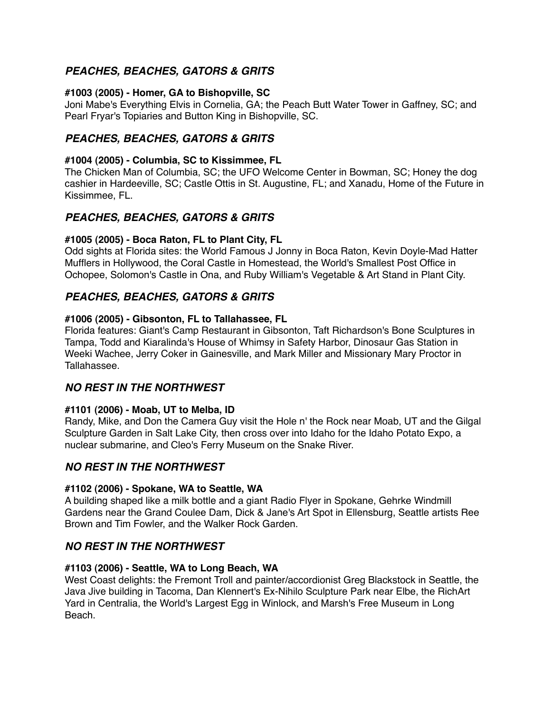# *PEACHES, BEACHES, GATORS & GRITS*

### **#1003 (2005) - Homer, GA to Bishopville, SC**

Joni Mabe's Everything Elvis in Cornelia, GA; the Peach Butt Water Tower in Gaffney, SC; and Pearl Fryar's Topiaries and Button King in Bishopville, SC.

# *PEACHES, BEACHES, GATORS & GRITS*

### **[#1004](http://www.ket.org/tvschedules/episode.php?nola=RVAR++001004) (2005) - Columbia, SC to Kissimmee, FL**

The Chicken Man of Columbia, SC; the UFO Welcome Center in Bowman, SC; Honey the dog cashier in Hardeeville, SC; Castle Ottis in St. Augustine, FL; and Xanadu, Home of the Future in Kissimmee, FL.

# *PEACHES, BEACHES, GATORS & GRITS*

# **[#1005](http://www.ket.org/tvschedules/episode.php?nola=RVAR++001005) (2005) - Boca Raton, FL to Plant City, FL**

Odd sights at Florida sites: the World Famous J Jonny in Boca Raton, Kevin Doyle-Mad Hatter Mufflers in Hollywood, the Coral Castle in Homestead, the World's Smallest Post Office in Ochopee, Solomon's Castle in Ona, and Ruby William's Vegetable & Art Stand in Plant City.

# *PEACHES, BEACHES, GATORS & GRITS*

### **[#1006](http://www.ket.org/tvschedules/episode.php?nola=RVAR++001006) (2005) - Gibsonton, FL to Tallahassee, FL**

Florida features: Giant's Camp Restaurant in Gibsonton, Taft Richardson's Bone Sculptures in Tampa, Todd and Kiaralinda's House of Whimsy in Safety Harbor, Dinosaur Gas Station in Weeki Wachee, Jerry Coker in Gainesville, and Mark Miller and Missionary Mary Proctor in Tallahassee.

# *NO REST IN THE NORTHWEST*

# **[#1101](http://www.ket.org/tvschedules/episode.php?nola=RVAR++001101) (2006) - Moab, UT to Melba, ID**

Randy, Mike, and Don the Camera Guy visit the Hole n' the Rock near Moab, UT and the Gilgal Sculpture Garden in Salt Lake City, then cross over into Idaho for the Idaho Potato Expo, a nuclear submarine, and Cleo's Ferry Museum on the Snake River.

# *NO REST IN THE NORTHWEST*

### **[#1102](http://www.ket.org/tvschedules/episode.php?nola=RVAR++001102) (2006) - Spokane, WA to Seattle, WA**

A building shaped like a milk bottle and a giant Radio Flyer in Spokane, Gehrke Windmill Gardens near the Grand Coulee Dam, Dick & Jane's Art Spot in Ellensburg, Seattle artists Ree Brown and Tim Fowler, and the Walker Rock Garden.

# *NO REST IN THE NORTHWEST*

# **#1103 (2006) - Seattle, WA to Long Beach, WA**

West Coast delights: the Fremont Troll and painter/accordionist Greg Blackstock in Seattle, the Java Jive building in Tacoma, Dan Klennert's Ex-Nihilo Sculpture Park near Elbe, the RichArt Yard in Centralia, the World's Largest Egg in Winlock, and Marsh's Free Museum in Long Beach.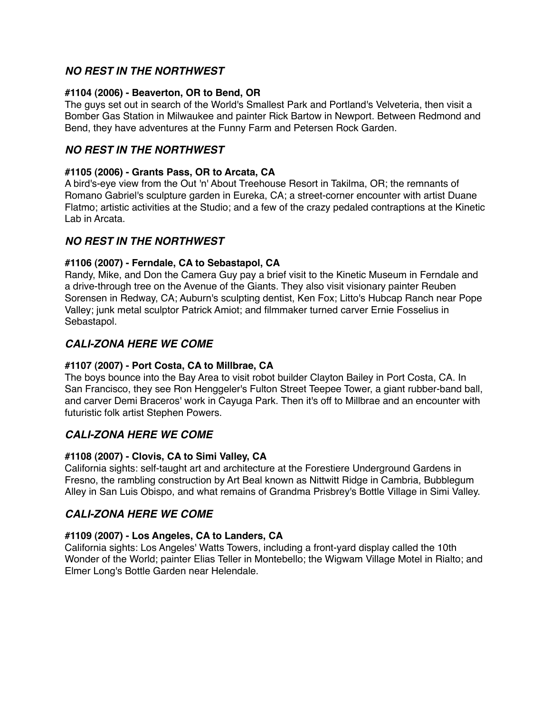# *NO REST IN THE NORTHWEST*

### **#1104 (2006) - Beaverton, OR to Bend, OR**

The guys set out in search of the World's Smallest Park and Portland's Velveteria, then visit a Bomber Gas Station in Milwaukee and painter Rick Bartow in Newport. Between Redmond and Bend, they have adventures at the Funny Farm and Petersen Rock Garden.

# *NO REST IN THE NORTHWEST*

### **#1105 (2006) - Grants Pass, OR to Arcata, CA**

A bird's-eye view from the Out 'n' About Treehouse Resort in Takilma, OR; the remnants of Romano Gabriel's sculpture garden in Eureka, CA; a street-corner encounter with artist Duane Flatmo; artistic activities at the Studio; and a few of the crazy pedaled contraptions at the Kinetic Lab in Arcata.

# *NO REST IN THE NORTHWEST*

### **#1106 (2007) - Ferndale, CA to Sebastapol, CA**

Randy, Mike, and Don the Camera Guy pay a brief visit to the Kinetic Museum in Ferndale and a drive-through tree on the Avenue of the Giants. They also visit visionary painter Reuben Sorensen in Redway, CA; Auburn's sculpting dentist, Ken Fox; Litto's Hubcap Ranch near Pope Valley; junk metal sculptor Patrick Amiot; and filmmaker turned carver Ernie Fosselius in Sebastapol.

# *CALI-ZONA HERE WE COME*

# **#1107 (2007) - Port Costa, CA to Millbrae, CA**

The boys bounce into the Bay Area to visit robot builder Clayton Bailey in Port Costa, CA. In San Francisco, they see Ron Henggeler's Fulton Street Teepee Tower, a giant rubber-band ball, and carver Demi Braceros' work in Cayuga Park. Then it's off to Millbrae and an encounter with futuristic folk artist Stephen Powers.

# *CALI-ZONA HERE WE COME*

# **#1108 (2007) - Clovis, CA to Simi Valley, CA**

California sights: self-taught art and architecture at the Forestiere Underground Gardens in Fresno, the rambling construction by Art Beal known as Nittwitt Ridge in Cambria, Bubblegum Alley in San Luis Obispo, and what remains of Grandma Prisbrey's Bottle Village in Simi Valley.

# *CALI-ZONA HERE WE COME*

# **#1109 (2007) - Los Angeles, CA to Landers, CA**

California sights: Los Angeles' Watts Towers, including a front-yard display called the 10th Wonder of the World; painter Elias Teller in Montebello; the Wigwam Village Motel in Rialto; and Elmer Long's Bottle Garden near Helendale.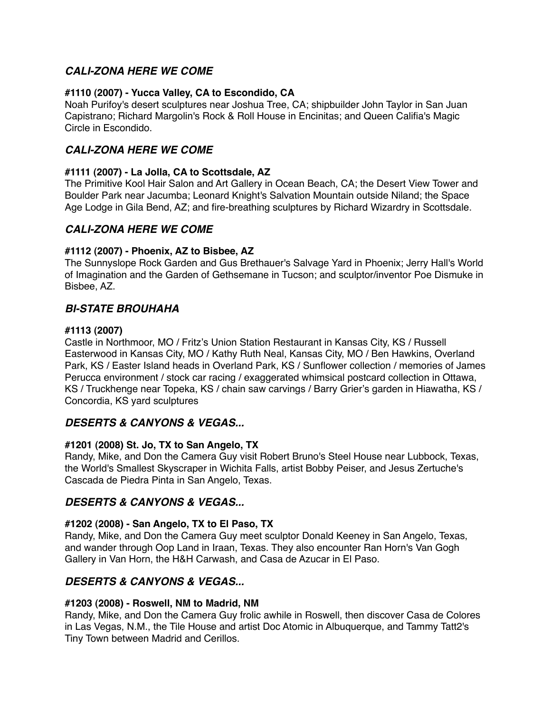# *CALI-ZONA HERE WE COME*

### **#1110 (2007) - Yucca Valley, CA to Escondido, CA**

Noah Purifoy's desert sculptures near Joshua Tree, CA; shipbuilder John Taylor in San Juan Capistrano; Richard Margolin's Rock & Roll House in Encinitas; and Queen Califia's Magic Circle in Escondido.

# *CALI-ZONA HERE WE COME*

### **#1111 (2007) - La Jolla, CA to Scottsdale, AZ**

The Primitive Kool Hair Salon and Art Gallery in Ocean Beach, CA; the Desert View Tower and Boulder Park near Jacumba; Leonard Knight's Salvation Mountain outside Niland; the Space Age Lodge in Gila Bend, AZ; and fire-breathing sculptures by Richard Wizardry in Scottsdale.

# *CALI-ZONA HERE WE COME*

### **#1112 (2007) - Phoenix, AZ to Bisbee, AZ**

The Sunnyslope Rock Garden and Gus Brethauer's Salvage Yard in Phoenix; Jerry Hall's World of Imagination and the Garden of Gethsemane in Tucson; and sculptor/inventor Poe Dismuke in Bisbee, AZ.

# *BI-STATE BROUHAHA*

### **#1113 (2007)**

Castle in Northmoor, MO / Fritz's Union Station Restaurant in Kansas City, KS / Russell Easterwood in Kansas City, MO / Kathy Ruth Neal, Kansas City, MO / Ben Hawkins, Overland Park, KS / Easter Island heads in Overland Park, KS / Sunflower collection / memories of James Perucca environment / stock car racing / exaggerated whimsical postcard collection in Ottawa, KS / Truckhenge near Topeka, KS / chain saw carvings / Barry Grier's garden in Hiawatha, KS / Concordia, KS yard sculptures

# *DESERTS & CANYONS & VEGAS...*

### **#1201 (2008) St. Jo, TX to San Angelo, TX**

Randy, Mike, and Don the Camera Guy visit Robert Bruno's Steel House near Lubbock, Texas, the World's Smallest Skyscraper in Wichita Falls, artist Bobby Peiser, and Jesus Zertuche's Cascada de Piedra Pinta in San Angelo, Texas.

# *DESERTS & CANYONS & VEGAS...*

### **#1202 (2008) - San Angelo, TX to El Paso, TX**

Randy, Mike, and Don the Camera Guy meet sculptor Donald Keeney in San Angelo, Texas, and wander through Oop Land in Iraan, Texas. They also encounter Ran Horn's Van Gogh Gallery in Van Horn, the H&H Carwash, and Casa de Azucar in El Paso.

# *DESERTS & CANYONS & VEGAS...*

### **[#1203](http://www.ket.org/tvschedules/episode.php?nola=RVAR++001203) (2008) - Roswell, NM to Madrid, NM**

Randy, Mike, and Don the Camera Guy frolic awhile in Roswell, then discover Casa de Colores in Las Vegas, N.M., the Tile House and artist Doc Atomic in Albuquerque, and Tammy Tatt2's Tiny Town between Madrid and Cerillos.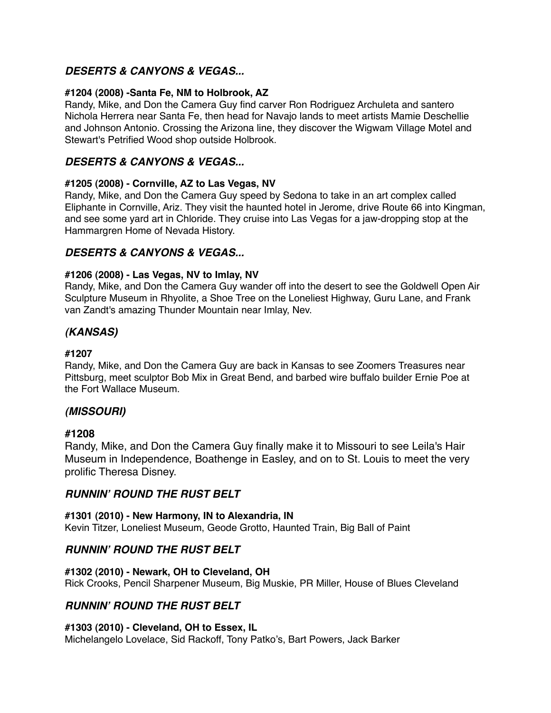# *DESERTS & CANYONS & VEGAS...*

### **#1204 (2008) -Santa Fe, NM to Holbrook, AZ**

Randy, Mike, and Don the Camera Guy find carver Ron Rodriguez Archuleta and santero Nichola Herrera near Santa Fe, then head for Navajo lands to meet artists Mamie Deschellie and Johnson Antonio. Crossing the Arizona line, they discover the Wigwam Village Motel and Stewart's Petrified Wood shop outside Holbrook.

# *DESERTS & CANYONS & VEGAS...*

### **#1205 (2008) - Cornville, AZ to Las Vegas, NV**

Randy, Mike, and Don the Camera Guy speed by Sedona to take in an art complex called Eliphante in Cornville, Ariz. They visit the haunted hotel in Jerome, drive Route 66 into Kingman, and see some yard art in Chloride. They cruise into Las Vegas for a jaw-dropping stop at the Hammargren Home of Nevada History.

### *DESERTS & CANYONS & VEGAS...*

### **#1206 (2008) - Las Vegas, NV to Imlay, NV**

Randy, Mike, and Don the Camera Guy wander off into the desert to see the Goldwell Open Air Sculpture Museum in Rhyolite, a Shoe Tree on the Loneliest Highway, Guru Lane, and Frank van Zandt's amazing Thunder Mountain near Imlay, Nev.

# *(KANSAS)*

### **#1207**

Randy, Mike, and Don the Camera Guy are back in Kansas to see Zoomers Treasures near Pittsburg, meet sculptor Bob Mix in Great Bend, and barbed wire buffalo builder Ernie Poe at the Fort Wallace Museum.

# *(MISSOURI)*

### **#1208**

Randy, Mike, and Don the Camera Guy finally make it to Missouri to see Leila's Hair Museum in Independence, Boathenge in Easley, and on to St. Louis to meet the very prolific Theresa Disney.

# *RUNNIN***'** *ROUND THE RUST BELT*

### **#1301 (2010) - New Harmony, IN to Alexandria, IN**

Kevin Titzer, Loneliest Museum, Geode Grotto, Haunted Train, Big Ball of Paint

# *RUNNIN***'** *ROUND THE RUST BELT*

### **[#1302](http://www.ket.org/tvschedules/episode.php?nola=RVAR++001208) (2010) - Newark, OH to Cleveland, OH**

Rick Crooks, Pencil Sharpener Museum, Big Muskie, PR Miller, House of Blues Cleveland

# *RUNNIN***'** *ROUND THE RUST BELT*

### **[#1303](http://www.ket.org/tvschedules/episode.php?nola=RVAR++001208) (2010) - Cleveland, OH to Essex, IL**

Michelangelo Lovelace, Sid Rackoff, Tony Patko's, Bart Powers, Jack Barker